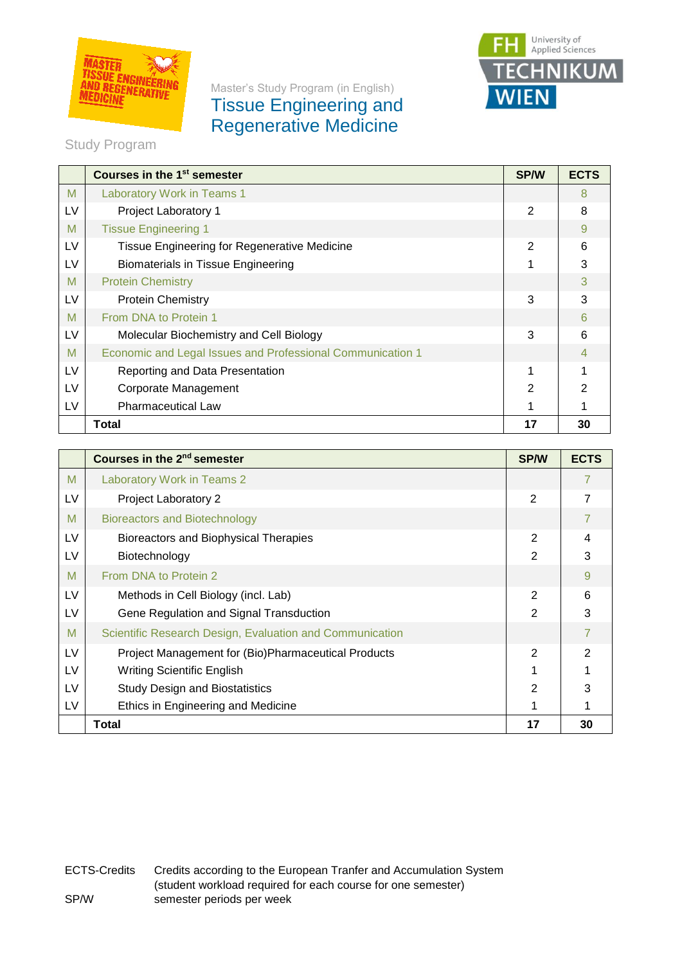

## Master's Study Program (in English) Tissue Engineering and Regenerative Medicine



Study Program

|    | Courses in the 1 <sup>st</sup> semester                    | <b>SP/W</b>   | <b>ECTS</b> |
|----|------------------------------------------------------------|---------------|-------------|
| M  | Laboratory Work in Teams 1                                 |               | 8           |
| LV | Project Laboratory 1                                       | 2             | 8           |
| M  | <b>Tissue Engineering 1</b>                                |               | 9           |
| LV | Tissue Engineering for Regenerative Medicine               | 2             | 6           |
| LV | <b>Biomaterials in Tissue Engineering</b>                  |               | 3           |
| M  | <b>Protein Chemistry</b>                                   |               | 3           |
| LV | <b>Protein Chemistry</b>                                   | 3             | 3           |
| M  | From DNA to Protein 1                                      |               | ิค          |
| LV | Molecular Biochemistry and Cell Biology                    | 3             | 6           |
| M  | Economic and Legal Issues and Professional Communication 1 |               |             |
| LV | Reporting and Data Presentation                            |               |             |
| LV | Corporate Management                                       | $\mathcal{P}$ |             |
| LV | <b>Pharmaceutical Law</b>                                  |               |             |
|    | <b>Total</b>                                               | 17            | 30          |

|    | Courses in the 2 <sup>nd</sup> semester                  | <b>SP/W</b>   | <b>ECTS</b>    |
|----|----------------------------------------------------------|---------------|----------------|
| M  | Laboratory Work in Teams 2                               |               | 7              |
| LV | Project Laboratory 2                                     | 2             | $\overline{7}$ |
| M  | <b>Bioreactors and Biotechnology</b>                     |               | 7              |
| LV | Bioreactors and Biophysical Therapies                    | $\mathcal{P}$ | 4              |
| LV | Biotechnology                                            | $\mathbf{2}$  | 3              |
| M  | From DNA to Protein 2                                    |               | 9              |
| LV | Methods in Cell Biology (incl. Lab)                      | 2             | 6              |
| LV | Gene Regulation and Signal Transduction                  | 2             | 3              |
| M  | Scientific Research Design, Evaluation and Communication |               | $\overline{7}$ |
| LV | Project Management for (Bio)Pharmaceutical Products      | 2             | 2              |
| LV | <b>Writing Scientific English</b>                        |               |                |
| LV | <b>Study Design and Biostatistics</b>                    | 2             | 3              |
| LV | Ethics in Engineering and Medicine                       |               |                |
|    | <b>Total</b>                                             | 17            | 30             |